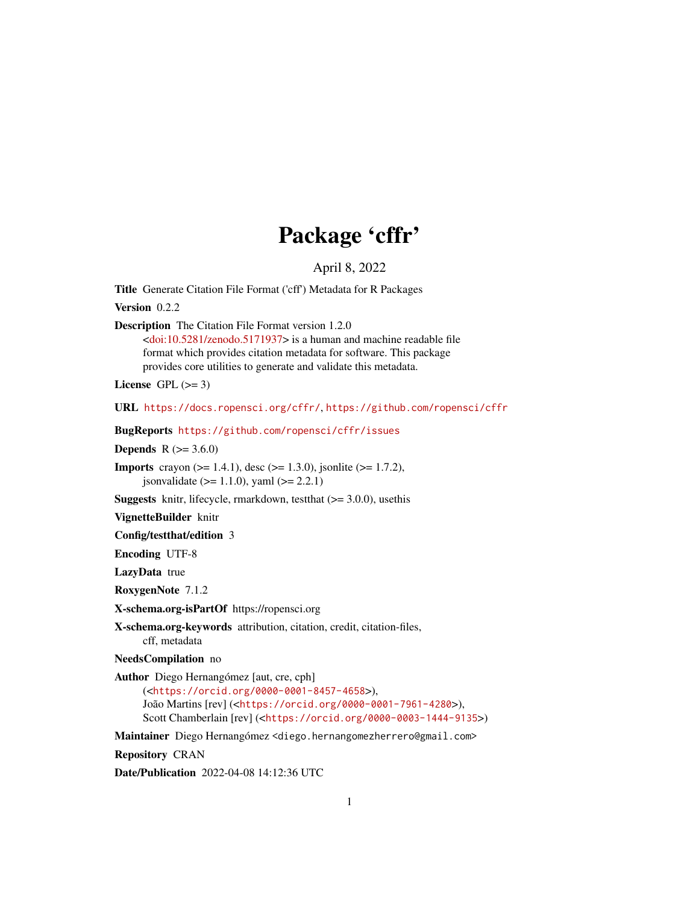# Package 'cffr'

April 8, 2022

<span id="page-0-0"></span>Title Generate Citation File Format ('cff') Metadata for R Packages

Version 0.2.2

Description The Citation File Format version 1.2.0

[<doi:10.5281/zenodo.5171937>](https://doi.org/10.5281/zenodo.5171937) is a human and machine readable file format which provides citation metadata for software. This package provides core utilities to generate and validate this metadata.

License GPL  $(>= 3)$ 

URL <https://docs.ropensci.org/cffr/>, <https://github.com/ropensci/cffr>

BugReports <https://github.com/ropensci/cffr/issues>

**Depends** R  $(>= 3.6.0)$ 

**Imports** crayon ( $>= 1.4.1$ ), desc ( $>= 1.3.0$ ), jsonlite ( $>= 1.7.2$ ), jsonvalidate ( $> = 1.1.0$ ), yaml ( $>= 2.2.1$ )

**Suggests** knitr, lifecycle, rmarkdown, test that  $(>= 3.0.0)$ , use this

VignetteBuilder knitr

Config/testthat/edition 3

Encoding UTF-8

LazyData true

RoxygenNote 7.1.2

X-schema.org-isPartOf https://ropensci.org

X-schema.org-keywords attribution, citation, credit, citation-files, cff, metadata

NeedsCompilation no

Author Diego Hernangómez [aut, cre, cph] (<<https://orcid.org/0000-0001-8457-4658>>), João Martins [rev] (<<https://orcid.org/0000-0001-7961-4280>>), Scott Chamberlain [rev] (<<https://orcid.org/0000-0003-1444-9135>>)

Maintainer Diego Hernangómez <diego.hernangomezherrero@gmail.com>

Repository CRAN

Date/Publication 2022-04-08 14:12:36 UTC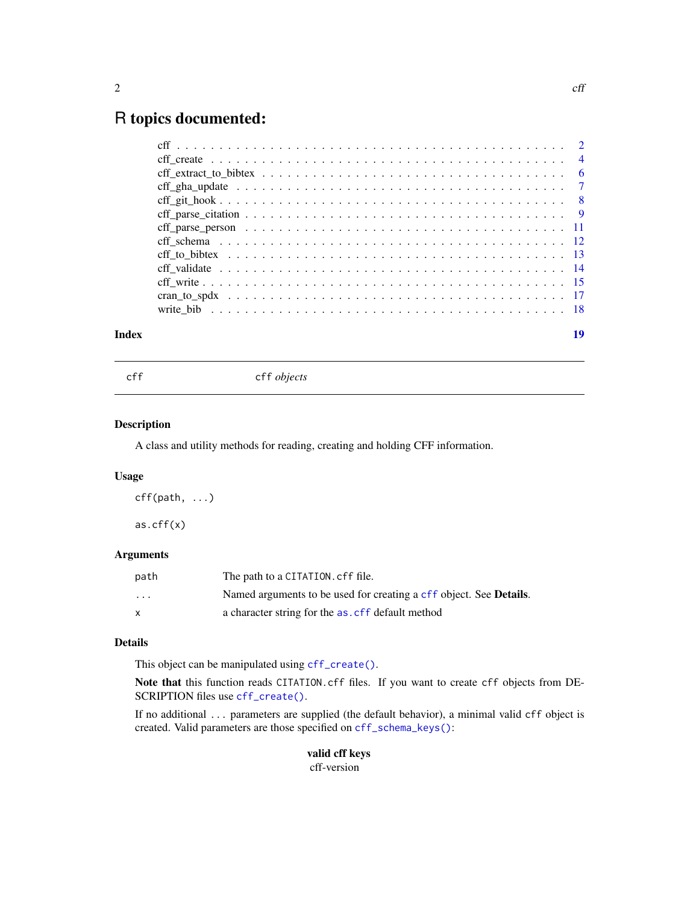# <span id="page-1-0"></span>R topics documented:

| Index | 19 |
|-------|----|
|       |    |
|       |    |
|       |    |
|       |    |
|       |    |
|       |    |
|       |    |
|       |    |
|       |    |
|       |    |
|       |    |
|       |    |
|       |    |

<span id="page-1-1"></span>cff cff *objects*

#### <span id="page-1-2"></span>Description

A class and utility methods for reading, creating and holding CFF information.

#### Usage

cff(path, ...) as.cff(x)

# Arguments

| path                    | The path to a CITATION. cff file.                                          |
|-------------------------|----------------------------------------------------------------------------|
| $\cdot$ $\cdot$ $\cdot$ | Named arguments to be used for creating a cff object. See <b>Details</b> . |
| $\mathsf{x}$            | a character string for the as. cff default method                          |

# Details

This object can be manipulated using [cff\\_create\(\)](#page-3-1).

Note that this function reads CITATION.cff files. If you want to create cff objects from DE-SCRIPTION files use [cff\\_create\(\)](#page-3-1).

If no additional ... parameters are supplied (the default behavior), a minimal valid cff object is created. Valid parameters are those specified on [cff\\_schema\\_keys\(\)](#page-11-1):

> valid cff keys cff-version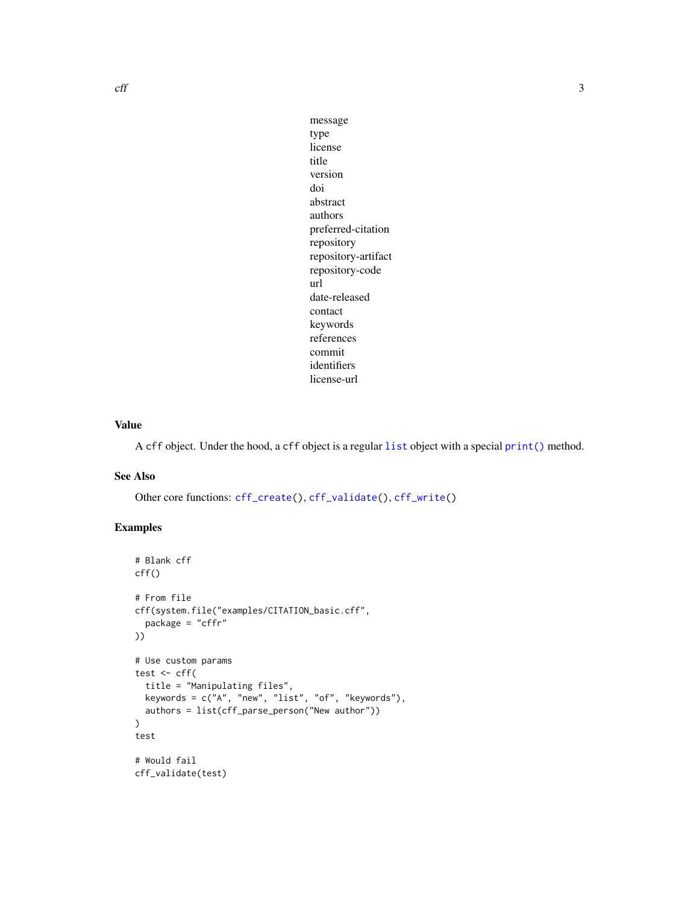<span id="page-2-0"></span> $\mathcal{C}$  and  $\mathcal{C}$  3

message type license title version doi abstract authors preferred-citation repository repository-artifact repository-code url date-released contact keywords references commit identifiers license-url

# Value

A cff object. Under the hood, a cff object is a regular [list](#page-0-0) object with a special [print\(\)](#page-0-0) method.

# See Also

Other core functions: [cff\\_create\(](#page-3-1)), [cff\\_validate\(](#page-13-1)), [cff\\_write\(](#page-14-1))

```
# Blank cff
cff()
# From file
cff(system.file("examples/CITATION_basic.cff",
  package = "cffr"
))
# Use custom params
test \leq cff(
  title = "Manipulating files",
  keywords = c("A", "new", "list", "of", "keywords"),
  authors = list(cff_parse_person("New author"))
)
test
# Would fail
cff_validate(test)
```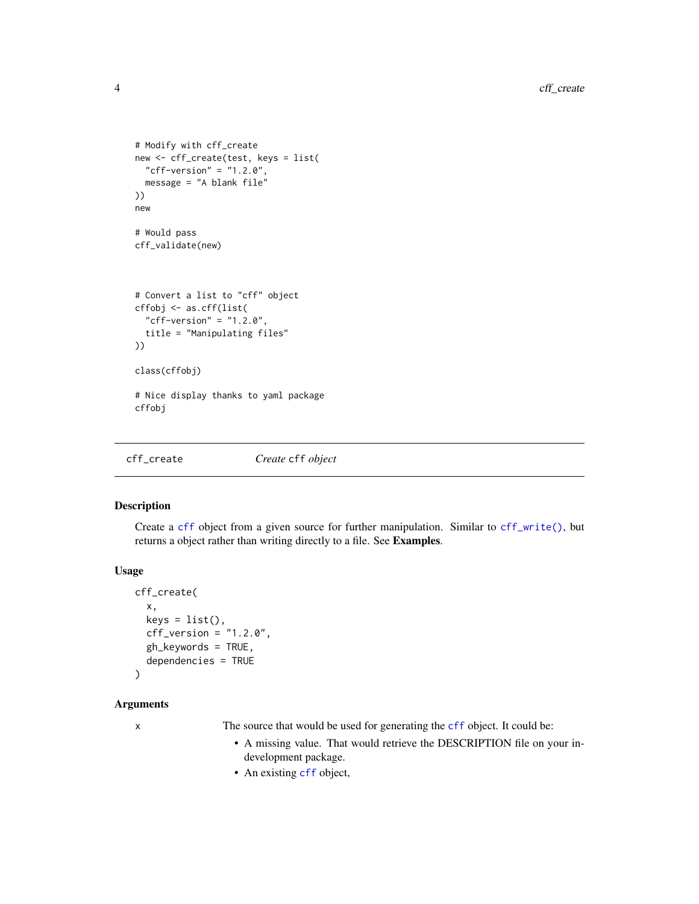```
# Modify with cff_create
new <- cff_create(test, keys = list(
  "cff-version" = "1.2.0",
  message = "A blank file"
))
new
# Would pass
cff_validate(new)
# Convert a list to "cff" object
cffobj <- as.cff(list(
  "cff-version" = "1.2.0",
  title = "Manipulating files"
))
class(cffobj)
# Nice display thanks to yaml package
cffobj
```
<span id="page-3-1"></span>cff\_create *Create* cff *object*

#### Description

Create a [cff](#page-1-1) object from a given source for further manipulation. Similar to [cff\\_write\(\)](#page-14-1), but returns a object rather than writing directly to a file. See Examples.

# Usage

```
cff_create(
  x,
  keys = list(),cf_{\text{version}} = "1.2.0",gh_keywords = TRUE,
  dependencies = TRUE
```

```
\lambda
```
# Arguments

x The source that would be used for generating the [cff](#page-1-1) object. It could be:

- A missing value. That would retrieve the DESCRIPTION file on your indevelopment package.
- An existing [cff](#page-1-1) object,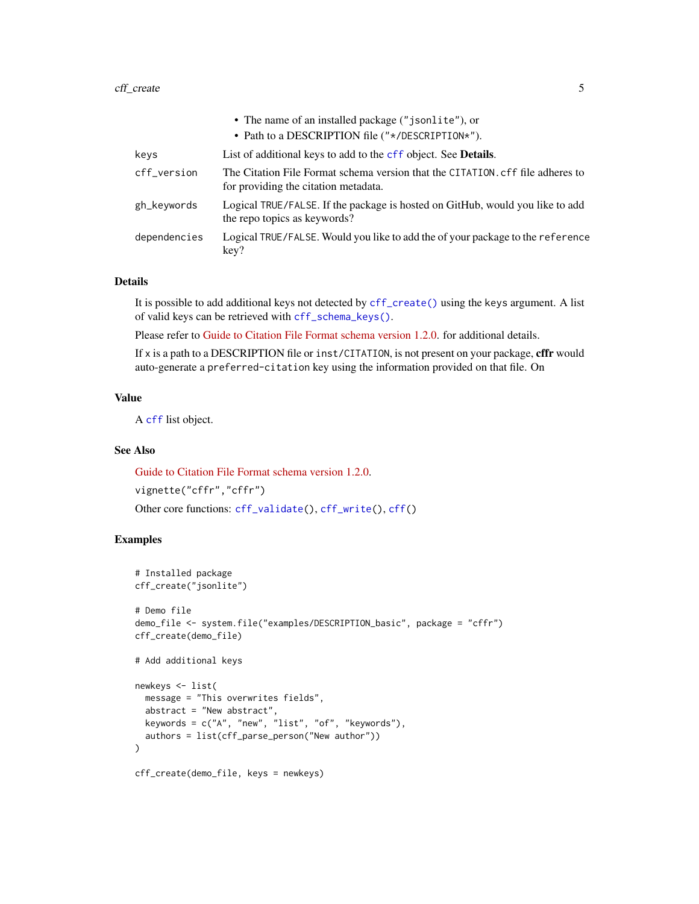#### <span id="page-4-0"></span>cff\_create 5

|              | • The name of an installed package ("jsonlite"), or                                                                    |
|--------------|------------------------------------------------------------------------------------------------------------------------|
|              | • Path to a DESCRIPTION file ("*/DESCRIPTION*").                                                                       |
| keys         | List of additional keys to add to the cff object. See Details.                                                         |
| cff_version  | The Citation File Format schema version that the CITATION, cff file adheres to<br>for providing the citation metadata. |
| gh_keywords  | Logical TRUE/FALSE. If the package is hosted on GitHub, would you like to add<br>the repo topics as keywords?          |
| dependencies | Logical TRUE/FALSE. Would you like to add the of your package to the reference<br>key?                                 |

# Details

It is possible to add additional keys not detected by [cff\\_create\(\)](#page-3-1) using the keys argument. A list of valid keys can be retrieved with [cff\\_schema\\_keys\(\)](#page-11-1).

Please refer to [Guide to Citation File Format schema version 1.2.0.](https://github.com/citation-file-format/citation-file-format/blob/main/schema-guide.md) for additional details.

If x is a path to a DESCRIPTION file or inst/CITATION, is not present on your package, **cffr** would auto-generate a preferred-citation key using the information provided on that file. On

#### Value

A [cff](#page-1-1) list object.

# See Also

[Guide to Citation File Format schema version 1.2.0.](https://github.com/citation-file-format/citation-file-format/blob/main/schema-guide.md) vignette("cffr","cffr") Other core functions: [cff\\_validate\(](#page-13-1)), [cff\\_write\(](#page-14-1)), [cff\(](#page-1-1))

```
# Installed package
cff_create("jsonlite")
# Demo file
demo_file <- system.file("examples/DESCRIPTION_basic", package = "cffr")
cff_create(demo_file)
# Add additional keys
newkeys <- list(
  message = "This overwrites fields",
  abstract = "New abstract",
  keywords = c("A", "new", "list", "of", "keywords"),
  authors = list(cff_parse_person("New author"))
)
cff_create(demo_file, keys = newkeys)
```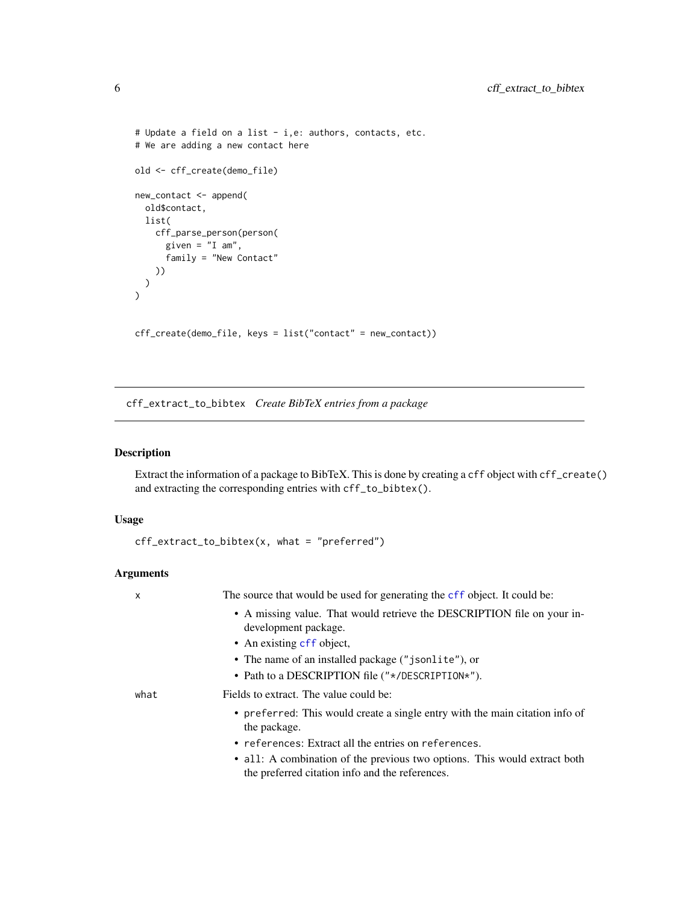```
# Update a field on a list - i,e: authors, contacts, etc.
# We are adding a new contact here
old <- cff_create(demo_file)
new_contact <- append(
  old$contact,
 list(
   cff_parse_person(person(
      given = "I am",
      family = "New Contact"
   ))
 )
)
cff_create(demo_file, keys = list("contact" = new_contact))
```
<span id="page-5-1"></span>cff\_extract\_to\_bibtex *Create BibTeX entries from a package*

# Description

Extract the information of a package to BibTeX. This is done by creating a cff object with cff\_create() and extracting the corresponding entries with cff\_to\_bibtex().

#### Usage

```
cff_extract_to_bibtex(x, what = "preferred")
```
# Arguments

| X    | The source that would be used for generating the cff object. It could be:                                                    |
|------|------------------------------------------------------------------------------------------------------------------------------|
|      | • A missing value. That would retrieve the DESCRIPTION file on your in-<br>development package.                              |
|      | • An existing cff object,                                                                                                    |
|      | • The name of an installed package ("jsonlite"), or                                                                          |
|      | • Path to a DESCRIPTION file $("*/$ DESCRIPTION*").                                                                          |
| what | Fields to extract. The value could be:                                                                                       |
|      | • preferred: This would create a single entry with the main citation info of<br>the package.                                 |
|      | • references: Extract all the entries on references.                                                                         |
|      | • all: A combination of the previous two options. This would extract both<br>the preferred citation info and the references. |

<span id="page-5-0"></span>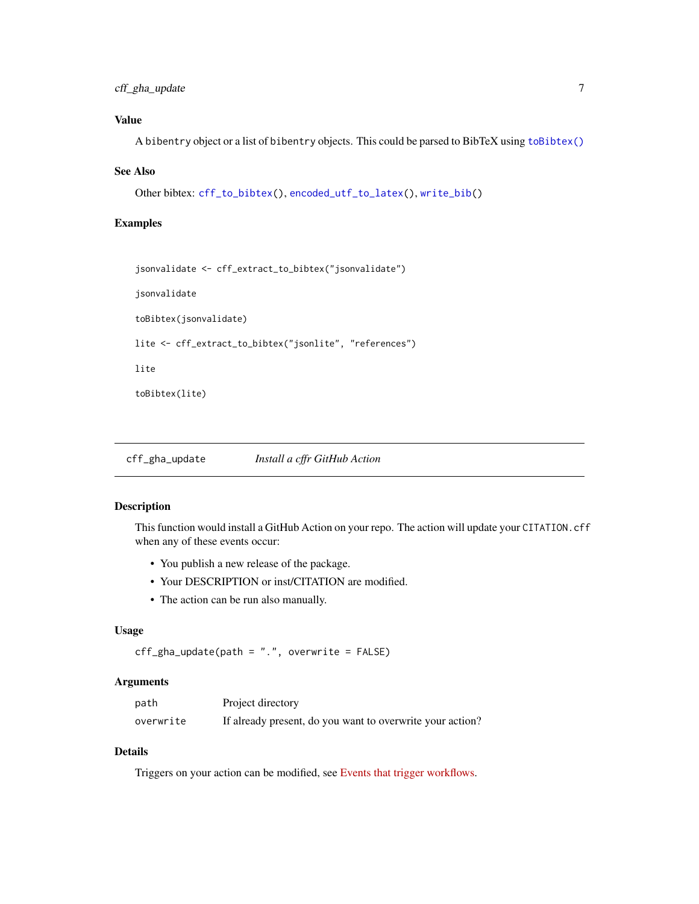# <span id="page-6-0"></span>cff\_gha\_update 7

# Value

A bibentry object or a list of bibentry objects. This could be parsed to BibTeX using [toBibtex\(\)](#page-0-0)

#### See Also

```
Other bibtex: cff_to_bibtex(), encoded_utf_to_latex(), write_bib()
```
#### Examples

```
jsonvalidate <- cff_extract_to_bibtex("jsonvalidate")
jsonvalidate
toBibtex(jsonvalidate)
lite <- cff_extract_to_bibtex("jsonlite", "references")
lite
toBibtex(lite)
```
<span id="page-6-1"></span>cff\_gha\_update *Install a cffr GitHub Action*

### Description

This function would install a GitHub Action on your repo. The action will update your CITATION.cff when any of these events occur:

- You publish a new release of the package.
- Your DESCRIPTION or inst/CITATION are modified.
- The action can be run also manually.

#### Usage

```
cff_gha_update(path = ".", overwrite = FALSE)
```
#### Arguments

| path      | Project directory                                         |
|-----------|-----------------------------------------------------------|
| overwrite | If already present, do you want to overwrite your action? |

# Details

Triggers on your action can be modified, see [Events that trigger workflows.](https://docs.github.com/en/actions/learn-github-actions/events-that-trigger-workflows)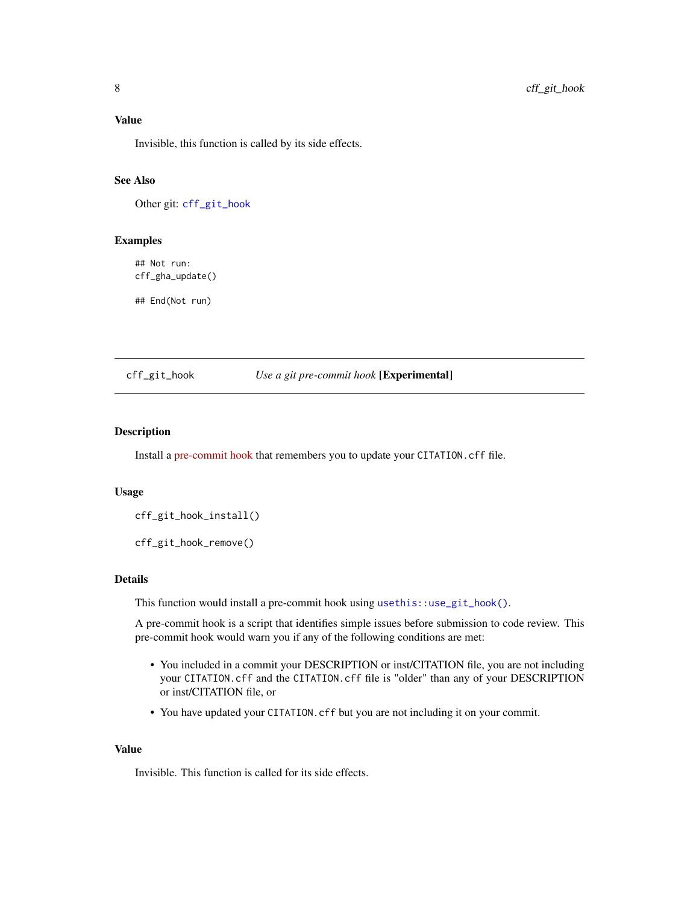<span id="page-7-0"></span>Value

Invisible, this function is called by its side effects.

#### See Also

Other git: [cff\\_git\\_hook](#page-7-1)

#### Examples

## Not run: cff\_gha\_update()

## End(Not run)

# <span id="page-7-1"></span>cff\_git\_hook *Use a git pre-commit hook* [Experimental]

# Description

Install a [pre-commit hook](https://git-scm.com/book/en/v2/Customizing-Git-Git-Hooks#_committing_workflow_hooks) that remembers you to update your CITATION.cff file.

#### Usage

cff\_git\_hook\_install()

cff\_git\_hook\_remove()

### Details

This function would install a pre-commit hook using [usethis::use\\_git\\_hook\(\)](#page-0-0).

A pre-commit hook is a script that identifies simple issues before submission to code review. This pre-commit hook would warn you if any of the following conditions are met:

- You included in a commit your DESCRIPTION or inst/CITATION file, you are not including your CITATION.cff and the CITATION.cff file is "older" than any of your DESCRIPTION or inst/CITATION file, or
- You have updated your CITATION. cff but you are not including it on your commit.

#### Value

Invisible. This function is called for its side effects.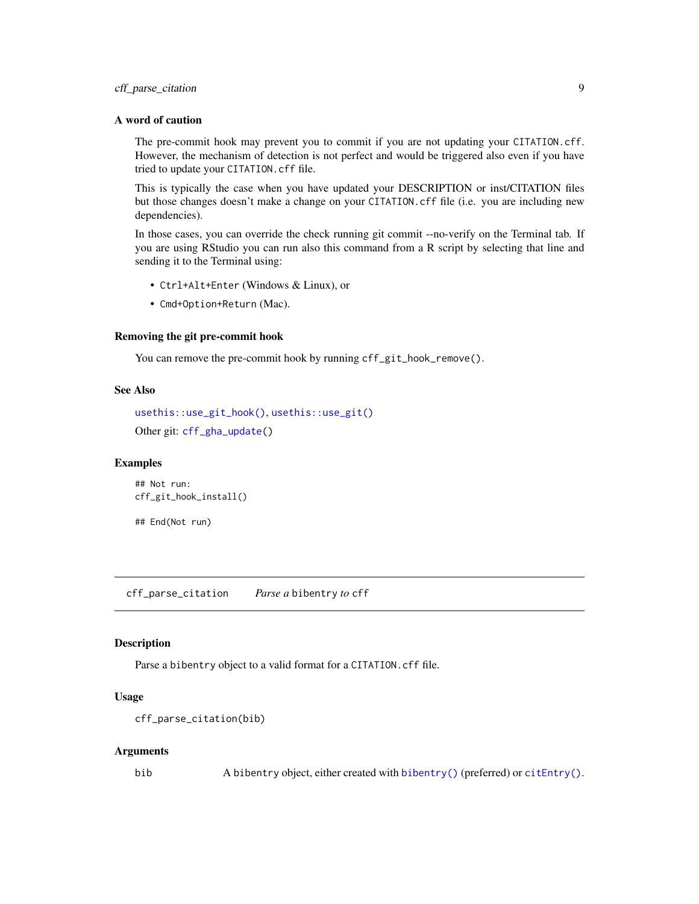# <span id="page-8-0"></span>cff\_parse\_citation 9

#### A word of caution

The pre-commit hook may prevent you to commit if you are not updating your CITATION.cff. However, the mechanism of detection is not perfect and would be triggered also even if you have tried to update your CITATION.cff file.

This is typically the case when you have updated your DESCRIPTION or inst/CITATION files but those changes doesn't make a change on your CITATION.cff file (i.e. you are including new dependencies).

In those cases, you can override the check running git commit --no-verify on the Terminal tab. If you are using RStudio you can run also this command from a R script by selecting that line and sending it to the Terminal using:

- Ctrl+Alt+Enter (Windows & Linux), or
- Cmd+Option+Return (Mac).

#### Removing the git pre-commit hook

You can remove the pre-commit hook by running cff\_git\_hook\_remove().

# See Also

```
usethis::use_git_hook(), usethis::use_git()
Other git: cff_gha_update()
```
#### Examples

## Not run: cff\_git\_hook\_install()

## End(Not run)

<span id="page-8-1"></span>cff\_parse\_citation *Parse a* bibentry *to* cff

#### Description

Parse a bibentry object to a valid format for a CITATION.cff file.

#### Usage

```
cff_parse_citation(bib)
```
#### Arguments

bib A bibentry object, either created with [bibentry\(\)](#page-0-0) (preferred) or [citEntry\(\)](#page-0-0).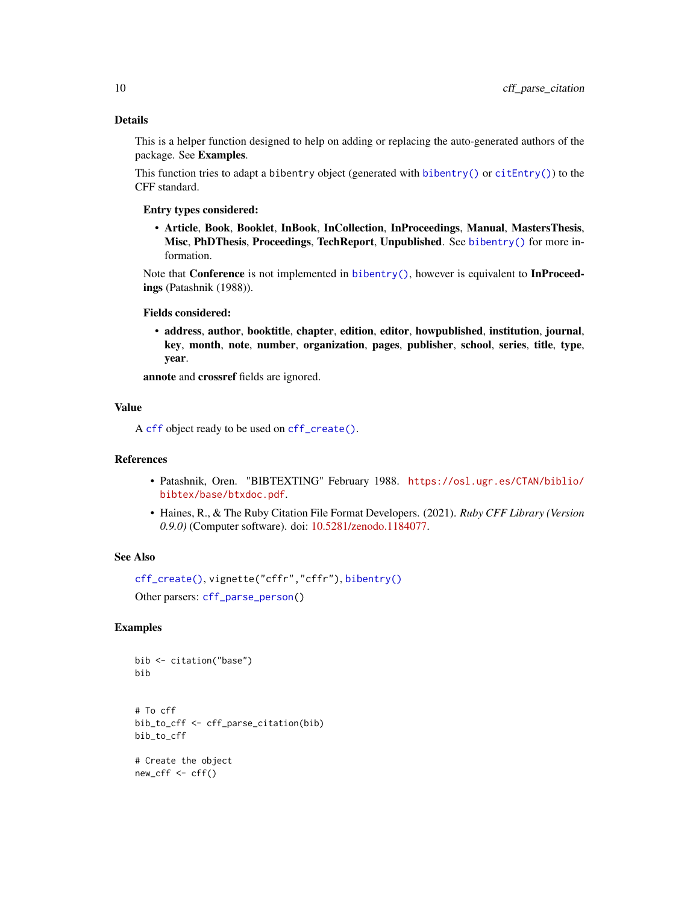# <span id="page-9-0"></span>Details

This is a helper function designed to help on adding or replacing the auto-generated authors of the package. See Examples.

This function tries to adapt a bibentry object (generated with [bibentry\(\)](#page-0-0) or  $c$  it Entry()) to the CFF standard.

#### Entry types considered:

• Article, Book, Booklet, InBook, InCollection, InProceedings, Manual, MastersThesis, Misc, PhDThesis, Proceedings, TechReport, Unpublished. See [bibentry\(\)](#page-0-0) for more information.

Note that **Conference** is not implemented in  $bibentry()$ , however is equivalent to **InProceed**ings (Patashnik (1988)).

#### Fields considered:

• address, author, booktitle, chapter, edition, editor, howpublished, institution, journal, key, month, note, number, organization, pages, publisher, school, series, title, type, year.

annote and crossref fields are ignored.

#### Value

A [cff](#page-1-1) object ready to be used on [cff\\_create\(\)](#page-3-1).

# References

- Patashnik, Oren. "BIBTEXTING" February 1988. [https://osl.ugr.es/CTAN/biblio/](https://osl.ugr.es/CTAN/biblio/bibtex/base/btxdoc.pdf) [bibtex/base/btxdoc.pdf](https://osl.ugr.es/CTAN/biblio/bibtex/base/btxdoc.pdf).
- Haines, R., & The Ruby Citation File Format Developers. (2021). *Ruby CFF Library (Version 0.9.0)* (Computer software). doi: [10.5281/zenodo.1184077.](https://doi.org/10.5281/zenodo.1184077)

#### See Also

```
cff_create(), vignette("cffr","cffr"), bibentry()
```
Other parsers: [cff\\_parse\\_person\(](#page-10-1))

```
bib <- citation("base")
bib
```

```
# To cff
bib_to_cff <- cff_parse_citation(bib)
bib_to_cff
```

```
# Create the object
new_cff <- cff()
```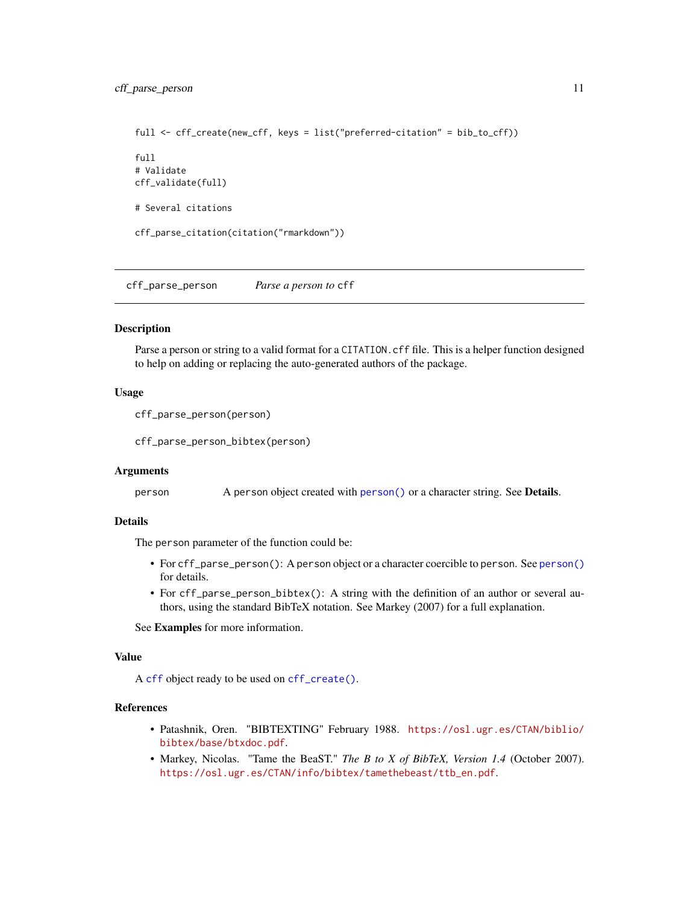```
full <- cff_create(new_cff, keys = list("preferred-citation" = bib_to_cff))
full
# Validate
cff_validate(full)
# Several citations
cff_parse_citation(citation("rmarkdown"))
```
<span id="page-10-1"></span>cff\_parse\_person *Parse a person to* cff

#### **Description**

Parse a person or string to a valid format for a CITATION.cff file. This is a helper function designed to help on adding or replacing the auto-generated authors of the package.

#### Usage

```
cff_parse_person(person)
```
cff\_parse\_person\_bibtex(person)

#### Arguments

person A person object created with [person\(\)](#page-0-0) or a character string. See Details.

#### Details

The person parameter of the function could be:

- For cff\_parse\_person(): A person object or a character coercible to person. See [person\(\)](#page-0-0) for details.
- For cff\_parse\_person\_bibtex(): A string with the definition of an author or several authors, using the standard BibTeX notation. See Markey (2007) for a full explanation.

See Examples for more information.

#### Value

A [cff](#page-1-1) object ready to be used on [cff\\_create\(\)](#page-3-1).

#### References

- Patashnik, Oren. "BIBTEXTING" February 1988. [https://osl.ugr.es/CTAN/biblio/](https://osl.ugr.es/CTAN/biblio/bibtex/base/btxdoc.pdf) [bibtex/base/btxdoc.pdf](https://osl.ugr.es/CTAN/biblio/bibtex/base/btxdoc.pdf).
- Markey, Nicolas. "Tame the BeaST." *The B to X of BibTeX, Version 1.4* (October 2007). [https://osl.ugr.es/CTAN/info/bibtex/tamethebeast/ttb\\_en.pdf](https://osl.ugr.es/CTAN/info/bibtex/tamethebeast/ttb_en.pdf).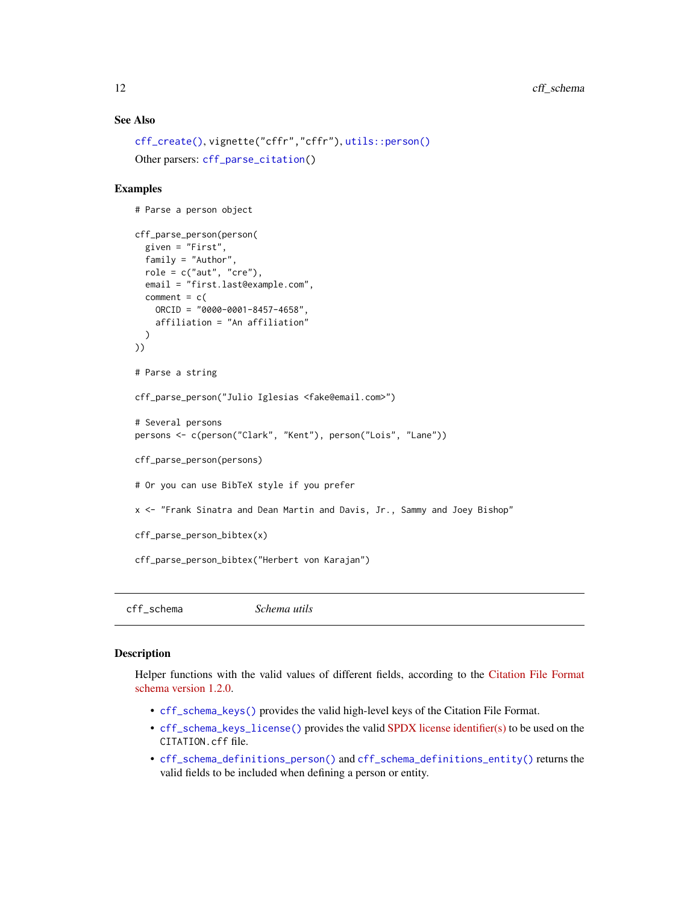# <span id="page-11-0"></span>See Also

```
cff_create(), vignette("cffr","cffr"), utils::person()
Other parsers: cff_parse_citation()
```
# Examples

```
# Parse a person object
```

```
cff_parse_person(person(
  given = "First",
  family = "Author",
  role = c("aut", "cre"),
  email = "first.last@example.com",
  comment = c(ORCID = "0000-0001-8457-4658",
   affiliation = "An affiliation"
  )
))
# Parse a string
cff_parse_person("Julio Iglesias <fake@email.com>")
# Several persons
persons <- c(person("Clark", "Kent"), person("Lois", "Lane"))
cff_parse_person(persons)
# Or you can use BibTeX style if you prefer
x <- "Frank Sinatra and Dean Martin and Davis, Jr., Sammy and Joey Bishop"
cff_parse_person_bibtex(x)
cff_parse_person_bibtex("Herbert von Karajan")
```
cff\_schema *Schema utils*

#### <span id="page-11-1"></span>Description

Helper functions with the valid values of different fields, according to the [Citation File Format](https://github.com/citation-file-format/citation-file-format/blob/main/schema-guide.md) [schema version 1.2.0.](https://github.com/citation-file-format/citation-file-format/blob/main/schema-guide.md)

- [cff\\_schema\\_keys\(\)](#page-11-1) provides the valid high-level keys of the Citation File Format.
- [cff\\_schema\\_keys\\_license\(\)](#page-11-1) provides the valid [SPDX license identifier\(s\)](https://spdx.dev/ids/) to be used on the CITATION.cff file.
- [cff\\_schema\\_definitions\\_person\(\)](#page-11-1) and [cff\\_schema\\_definitions\\_entity\(\)](#page-11-1) returns the valid fields to be included when defining a person or entity.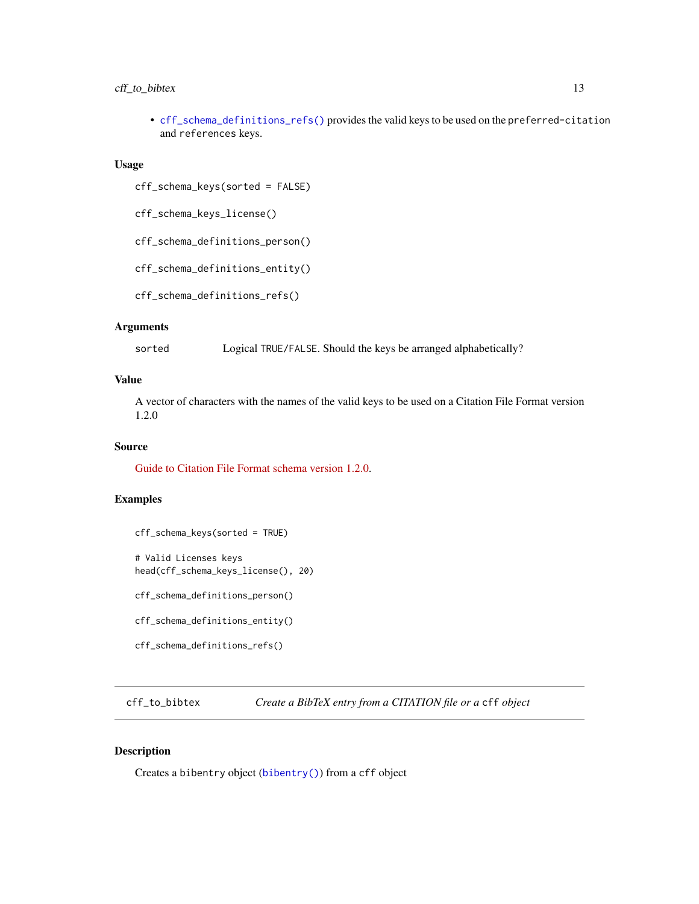# <span id="page-12-0"></span>cff<sub>\_to\_bibtex</sub> 13

• [cff\\_schema\\_definitions\\_refs\(\)](#page-11-1) provides the valid keys to be used on the preferred-citation and references keys.

#### Usage

cff\_schema\_keys(sorted = FALSE)

cff\_schema\_keys\_license()

cff\_schema\_definitions\_person()

cff\_schema\_definitions\_entity()

cff\_schema\_definitions\_refs()

# Arguments

sorted Logical TRUE/FALSE. Should the keys be arranged alphabetically?

### Value

A vector of characters with the names of the valid keys to be used on a Citation File Format version 1.2.0

# Source

[Guide to Citation File Format schema version 1.2.0.](https://github.com/citation-file-format/citation-file-format/blob/main/schema-guide.md)

#### Examples

```
cff_schema_keys(sorted = TRUE)
# Valid Licenses keys
head(cff_schema_keys_license(), 20)
cff_schema_definitions_person()
cff_schema_definitions_entity()
cff_schema_definitions_refs()
```
<span id="page-12-1"></span>cff\_to\_bibtex *Create a BibTeX entry from a CITATION file or a* cff *object*

# Description

Creates a bibentry object ([bibentry\(\)](#page-0-0)) from a cff object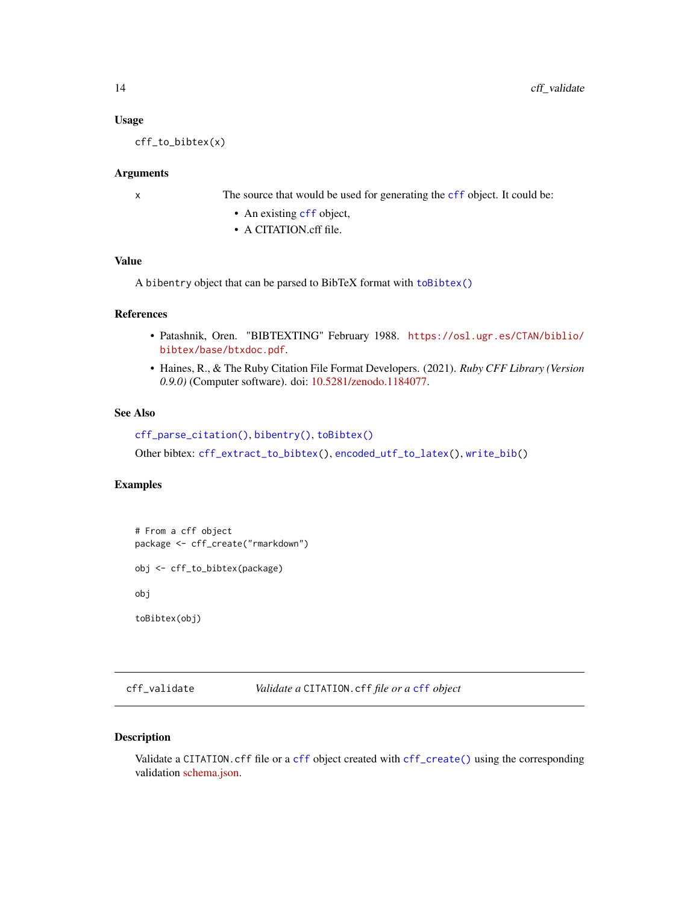#### Usage

cff\_to\_bibtex(x)

#### Arguments

x The source that would be used for generating the [cff](#page-1-1) object. It could be:

- An existing [cff](#page-1-1) object,
- A CITATION.cff file.

# Value

A bibentry object that can be parsed to BibTeX format with [toBibtex\(\)](#page-0-0)

# References

- Patashnik, Oren. "BIBTEXTING" February 1988. [https://osl.ugr.es/CTAN/biblio/](https://osl.ugr.es/CTAN/biblio/bibtex/base/btxdoc.pdf) [bibtex/base/btxdoc.pdf](https://osl.ugr.es/CTAN/biblio/bibtex/base/btxdoc.pdf).
- Haines, R., & The Ruby Citation File Format Developers. (2021). *Ruby CFF Library (Version 0.9.0)* (Computer software). doi: [10.5281/zenodo.1184077.](https://doi.org/10.5281/zenodo.1184077)

# See Also

```
cff_parse_citation(), bibentry(), toBibtex()
Other bibtex: cff_extract_to_bibtex(), encoded_utf_to_latex(), write_bib()
```
# Examples

# From a cff object package <- cff\_create("rmarkdown") obj <- cff\_to\_bibtex(package) obj toBibtex(obj)

<span id="page-13-1"></span>cff\_validate *Validate a* CITATION.cff *file or a* [cff](#page-1-1) *object*

#### Description

Validate a CITATION.cff file or a [cff](#page-1-1) object created with [cff\\_create\(\)](#page-3-1) using the corresponding validation [schema.json.](https://github.com/citation-file-format/citation-file-format/blob/main/schema.json)

<span id="page-13-0"></span>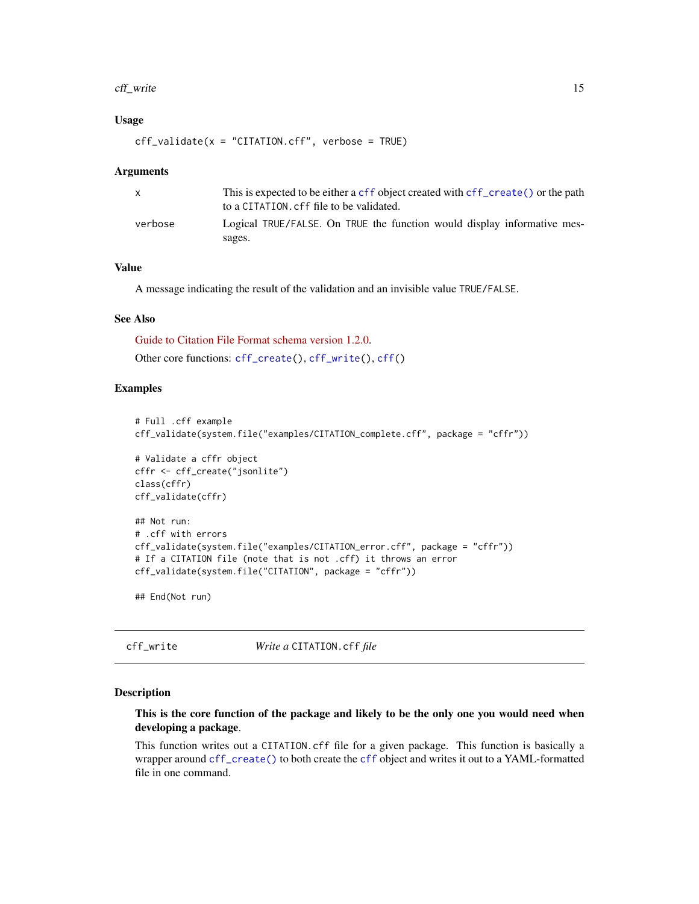#### <span id="page-14-0"></span>cff\_write 15

### Usage

 $cf_{value}(x = "CITATION.cff",$  verbose = TRUE)

#### **Arguments**

| $\mathsf{x}$ | This is expected to be either a cff object created with cff create () or the path<br>to a CITATION. cff file to be validated. |
|--------------|-------------------------------------------------------------------------------------------------------------------------------|
| verbose      | Logical TRUE/FALSE. On TRUE the function would display informative mes-<br>sages.                                             |

# Value

A message indicating the result of the validation and an invisible value TRUE/FALSE.

#### See Also

[Guide to Citation File Format schema version 1.2.0.](https://github.com/citation-file-format/citation-file-format/blob/main/schema-guide.md) Other core functions: [cff\\_create\(](#page-3-1)), [cff\\_write\(](#page-14-1)), [cff\(](#page-1-1))

#### Examples

```
# Full .cff example
cff_validate(system.file("examples/CITATION_complete.cff", package = "cffr"))
# Validate a cffr object
cffr <- cff_create("jsonlite")
class(cffr)
cff_validate(cffr)
## Not run:
# .cff with errors
cff_validate(system.file("examples/CITATION_error.cff", package = "cffr"))
# If a CITATION file (note that is not .cff) it throws an error
cff_validate(system.file("CITATION", package = "cffr"))
```
## End(Not run)

<span id="page-14-1"></span>cff\_write *Write a* CITATION.cff *file*

#### **Description**

# This is the core function of the package and likely to be the only one you would need when developing a package.

This function writes out a CITATION.cff file for a given package. This function is basically a wrapper around [cff\\_create\(\)](#page-3-1) to both create the [cff](#page-1-1) object and writes it out to a YAML-formatted file in one command.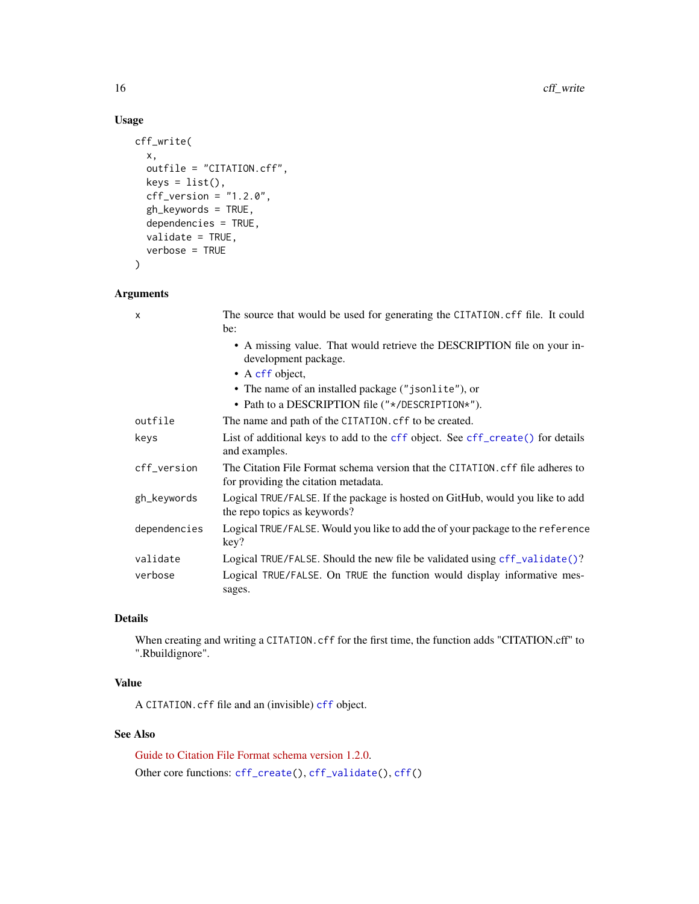# Usage

```
cff_write(
  x,
  outfile = "CITATION.cff",
  keys = list(),cf_{\text{}}version = "1.2.0",gh_keywords = TRUE,
  dependencies = TRUE,
  validate = TRUE,
  verbose = TRUE
\mathcal{L}
```
# Arguments

| X            | The source that would be used for generating the CITATION. cff file. It could<br>be:                                   |
|--------------|------------------------------------------------------------------------------------------------------------------------|
|              | • A missing value. That would retrieve the DESCRIPTION file on your in-<br>development package.                        |
|              | $\bullet$ A cff object,                                                                                                |
|              | • The name of an installed package ("jsonlite"), or                                                                    |
|              | • Path to a DESCRIPTION file $("*/\text{DESCRIPTION*}'')$ .                                                            |
| outfile      | The name and path of the CITATION. cff to be created.                                                                  |
| keys         | List of additional keys to add to the cff object. See cff_create() for details<br>and examples.                        |
| cff_version  | The Citation File Format schema version that the CITATION, cff file adheres to<br>for providing the citation metadata. |
| gh_keywords  | Logical TRUE/FALSE. If the package is hosted on GitHub, would you like to add<br>the repo topics as keywords?          |
| dependencies | Logical TRUE/FALSE. Would you like to add the of your package to the reference<br>key?                                 |
| validate     | Logical TRUE/FALSE. Should the new file be validated using cff_validate()?                                             |
| verbose      | Logical TRUE/FALSE. On TRUE the function would display informative mes-<br>sages.                                      |

# Details

When creating and writing a CITATION.cff for the first time, the function adds "CITATION.cff" to ".Rbuildignore".

# Value

A CITATION.cff file and an (invisible) [cff](#page-1-1) object.

# See Also

[Guide to Citation File Format schema version 1.2.0.](https://github.com/citation-file-format/citation-file-format/blob/main/schema-guide.md) Other core functions: [cff\\_create\(](#page-3-1)), [cff\\_validate\(](#page-13-1)), [cff\(](#page-1-1))

<span id="page-15-0"></span>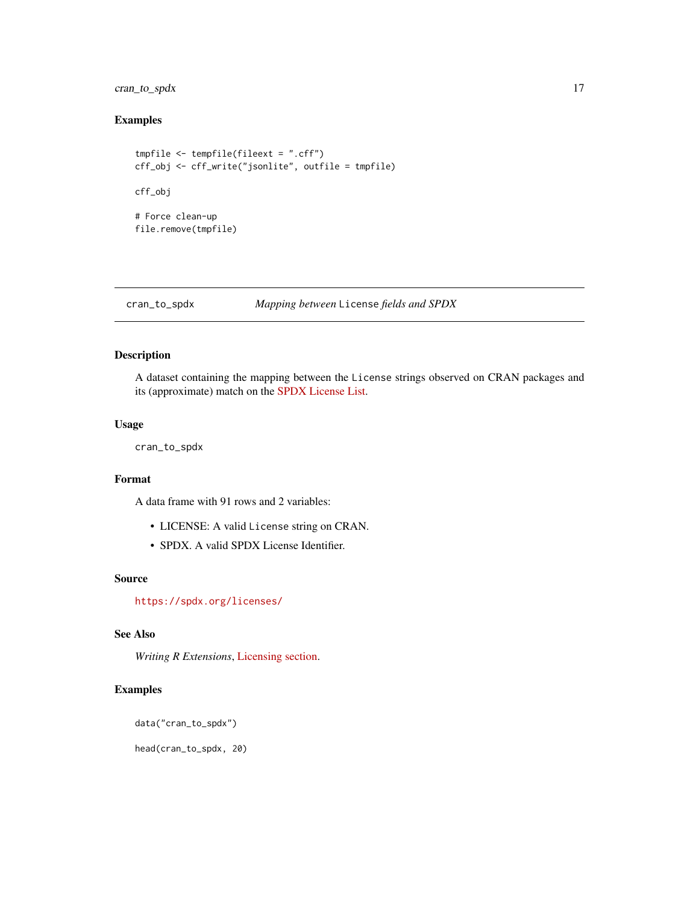<span id="page-16-0"></span>cran\_to\_spdx 17

# Examples

```
tmpfile <- tempfile(fileext = ".cff")
cff_obj <- cff_write("jsonlite", outfile = tmpfile)
cff_obj
# Force clean-up
file.remove(tmpfile)
```
cran\_to\_spdx *Mapping between* License *fields and SPDX*

# Description

A dataset containing the mapping between the License strings observed on CRAN packages and its (approximate) match on the [SPDX License List.](https://spdx.org/licenses/)

#### Usage

cran\_to\_spdx

# Format

A data frame with 91 rows and 2 variables:

- LICENSE: A valid License string on CRAN.
- SPDX. A valid SPDX License Identifier.

#### Source

<https://spdx.org/licenses/>

# See Also

*Writing R Extensions*, [Licensing section.](https://cran.r-project.org/doc/manuals/r-release/R-exts.html#Licensing)

# Examples

data("cran\_to\_spdx")

head(cran\_to\_spdx, 20)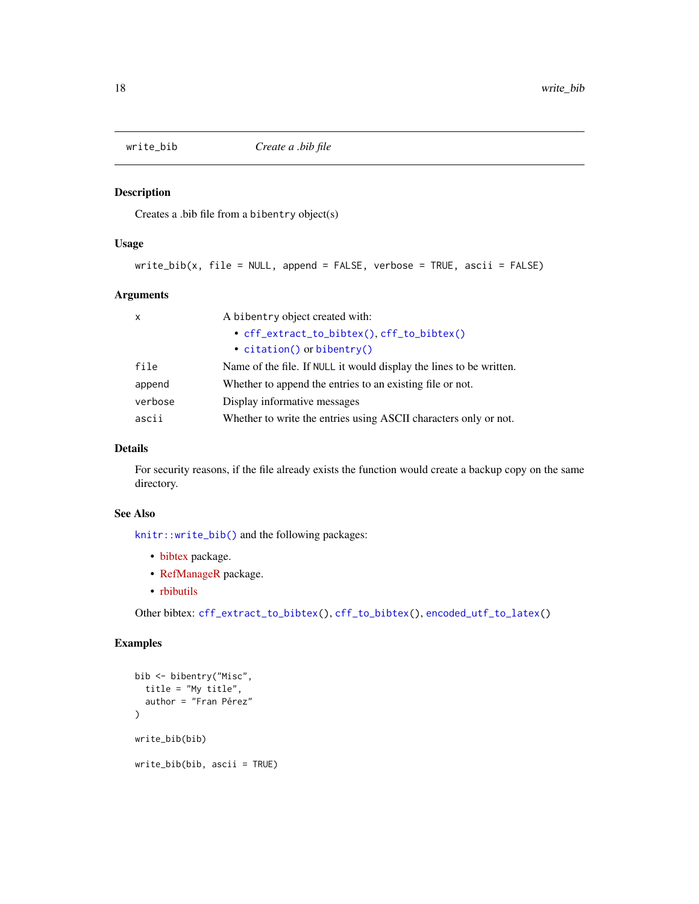<span id="page-17-1"></span><span id="page-17-0"></span>

#### Description

Creates a .bib file from a bibentry object(s)

# Usage

```
write_bib(x, file = NULL, append = FALSE, verbose = TRUE, ascii = FALSE)
```
# Arguments

| $\mathsf{x}$ | A bibentry object created with:                                     |
|--------------|---------------------------------------------------------------------|
|              | • cff_extract_to_bibtex(), cff_to_bibtex()                          |
|              | • $citation()$ or bibentry()                                        |
| file         | Name of the file. If NULL it would display the lines to be written. |
| append       | Whether to append the entries to an existing file or not.           |
| verbose      | Display informative messages                                        |
| ascii        | Whether to write the entries using ASCII characters only or not.    |

# Details

For security reasons, if the file already exists the function would create a backup copy on the same directory.

# See Also

[knitr::write\\_bib\(\)](#page-0-0) and the following packages:

- [bibtex](https://github.com/ropensci/bibtex) package.
- [RefManageR](https://github.com/ropensci/RefManageR) package.
- [rbibutils](https://github.com/GeoBosh/rbibutils/)

Other bibtex: [cff\\_extract\\_to\\_bibtex\(](#page-5-1)), [cff\\_to\\_bibtex\(](#page-12-1)), [encoded\\_utf\\_to\\_latex\(](#page-0-0))

```
bib <- bibentry("Misc",
  title = "My title",
  author = "Fran Pérez"
\mathcal{L}write_bib(bib)
write_bib(bib, ascii = TRUE)
```